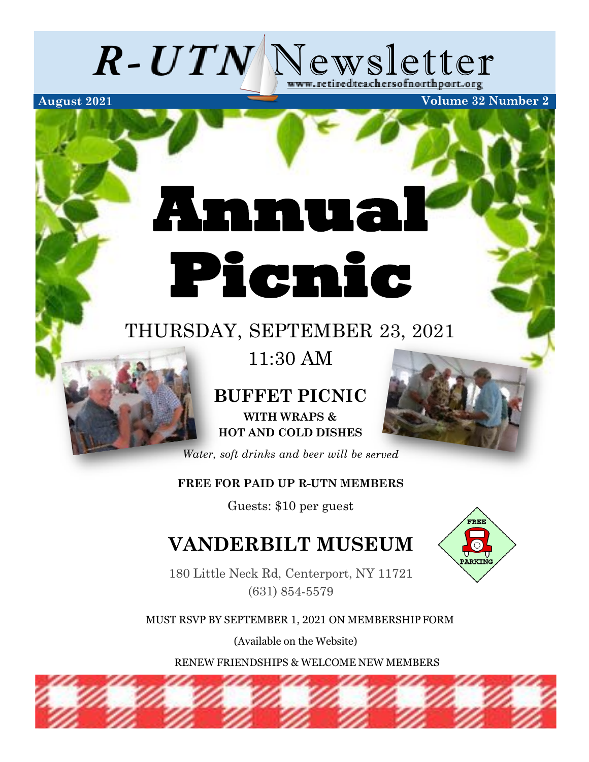

# **Annual Picnic**

# THURSDAY, SEPTEMBER 23, 2021

11:30 AM

## **BUFFET ICNIC WITH WRAPS & HOT AND COLD DIS ES**

*Water, soft drinks and beer will be*

### **FREE FOR PAID UP R-UTN MEMBERS**

Guests: \$10 per gue

# **VANDERBILT MUSEUM**

180 Little Neck Rd, Centerport, NY 11721 (631) 854-5579



(Available on the Website)

RENEW FRIENDSHIPS & WELCOME NEW MEMBERS



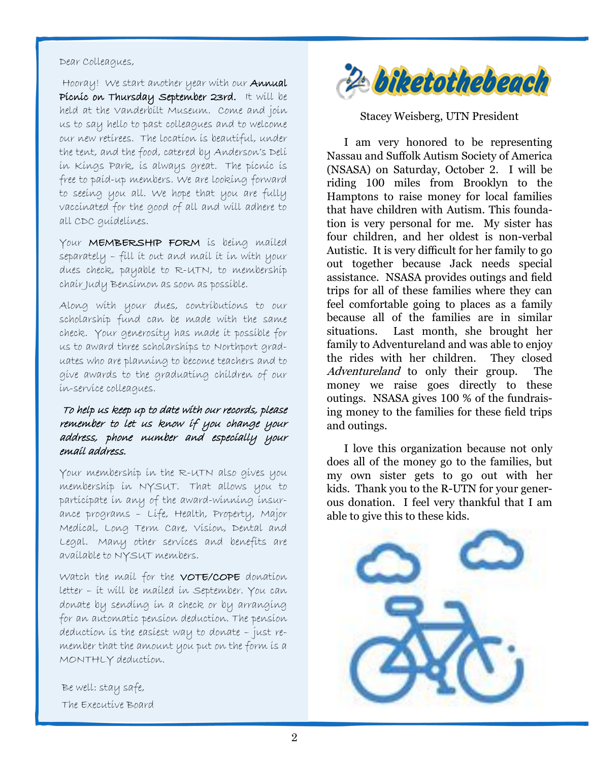#### Dear Colleagues,

Hooray! We start another year with our Annual Picnic on Thursday September 23rd. It will be held at the Vanderbilt Museum. Come and join us to say hello to past colleagues and to welcome our new retirees. The location is beautiful, under the tent, and the food, catered by Anderson's Deli in Kings Park, is always great. The picnic is free to paid-up members. We are looking forward to seeing you all. We hope that you are fully vaccinated for the good of all and will adhere to all CDC guidelines.

Your MEMBERSHIP FORM is being mailed separately – fill it out and mail it in with your dues check, payable to R-UTN, to membership chair Judy Bensimon as soon as possible.

Along with your dues, contributions to our scholarship fund can be made with the same check. Your generosity has made it possible for us to award three scholarships to Northport graduates who are planning to become teachers and to give awards to the graduating children of our in-service colleagues.

#### To help us keep up to date with our records, please remember to let us know if you change your address, phone number and especially your email address.

Your membership in the R-UTN also gives you membership in NYSUT. That allows you to participate in any of the award-winning insurance programs – Life, Health, Property, Major Medical, Long Term Care, Vision, Dental and Legal. Many other services and benefits are available to NYSUT members.

Watch the mail for the VOTE/COPE donation letter – it will be mailed in September. You can donate by sending in a check or by arranging for an automatic pension deduction. The pension deduction is the easiest way to donate – just remember that the amount you put on the form is a MONTHLY deduction.

Be well: stay safe, The Executive Board



#### Stacey Weisberg, UTN President

I am very honored to be representing Nassau and Sufolk Autism Society of America (NSASA) on Saturday, October 2. I will be riding 100 miles from Brooklyn to the Hamptons to raise money for local families that have children with Autism. This foundation is very personal for me. My sister has four children, and her oldest is non-verbal Autistic. It is very difficult for her family to go out together because Jack needs special assistance. NSASA provides outings and feld trips for all of these families where they can feel comfortable going to places as a family because all of the families are in similar situations. Last month, she brought her family to Adventureland and was able to enjoy the rides with her children. They closed Adventureland to only their group. The money we raise goes directly to these outings. NSASA gives 100 % of the fundraising money to the families for these feld trips and outings.

I love this organization because not only does all of the money go to the families, but my own sister gets to go out with her kids. Thank you to the R-UTN for your generous donation. I feel very thankful that I am able to give this to these kids.

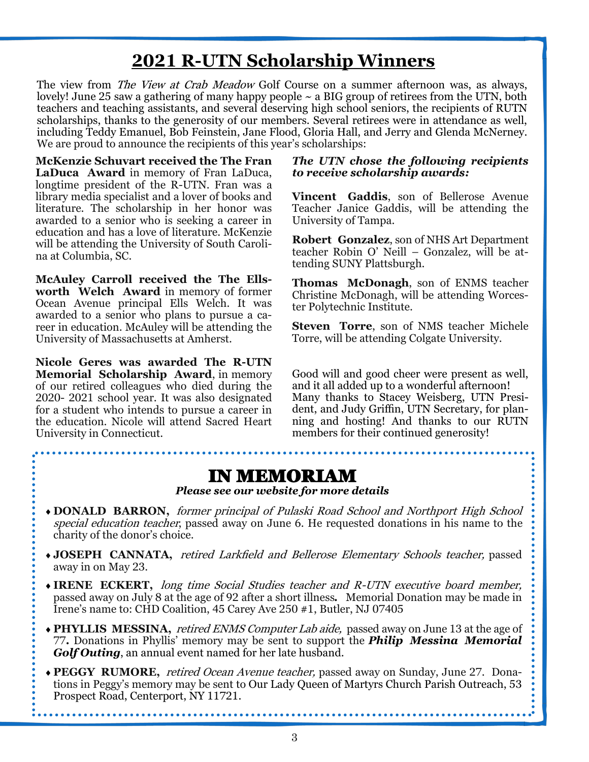# **2021 R-[UTN Scholarship Winners](https://www.retiredteachersofnorthport.org/2021-r-utn-scholarship-winners/)**

The view from *The View at Crab Meadow* Golf Course on a summer afternoon was, as always, lovely! June 25 saw a gathering of many happy people ~ a BIG group of retirees from the UTN, both teachers and teaching assistants, and several deserving high school seniors, the recipients of RUTN scholarships, thanks to the generosity of our members. Several retirees were in attendance as well, including Teddy Emanuel, Bob Feinstein, Jane Flood, Gloria Hall, and Jerry and Glenda McNerney. We are proud to announce the recipients of this year's scholarships:

**McKenzie Schuvart received the The Fran LaDuca Award** in memory of Fran LaDuca, longtime president of the R-UTN. Fran was a library media specialist and a lover of books and literature. The scholarship in her honor was awarded to a senior who is seeking a career in education and has a love of literature. McKenzie will be attending the University of South Carolina at Columbia, SC.

**McAuley Carroll received the The Ellsworth Welch Award** in memory of former Ocean Avenue principal Ells Welch. It was awarded to a senior who plans to pursue a career in education. McAuley will be attending the University of Massachusetts at Amherst.

**Nicole Geres was awarded The R-UTN Memorial Scholarship Award**, in memory of our retired colleagues who died during the 2020- 2021 school year. It was also designated for a student who intends to pursue a career in the education. Nicole will attend Sacred Heart University in Connecticut.

#### *The UTN chose the following recipients to receive scholarship awards:*

**Vincent Gaddis**, son of Bellerose Avenue Teacher Janice Gaddis, will be attending the University of Tampa.

**Robert Gonzalez**, son of NHS Art Department teacher Robin O' Neill – Gonzalez, will be attending SUNY Plattsburgh.

**Thomas McDonagh**, son of ENMS teacher Christine McDonagh, will be attending Worcester Polytechnic Institute.

**Steven Torre**, son of NMS teacher Michele Torre, will be attending Colgate University.

Good will and good cheer were present as well, and it all added up to a wonderful afternoon! Many thanks to Stacey Weisberg, UTN President, and Judy Grifn, UTN Secretary, for planning and hosting! And thanks to our RUTN members for their continued generosity!

## IN MEMORIAM

*Please see our website for more details*

- i**DONALD BARRON,** former principal of Pulaski Road School and Northport High School special education teacher, passed away on June 6. He requested donations in his name to the charity of the donor's choice.
- i **JOSEPH CANNATA,** retired Larkfeld and Bellerose Elementary Schools teacher, passed away in on May 23.
- i **IRENE ECKERT,** long time Social Studies teacher and R-UTN executive board member, passed away on July 8 at the age of 92 after a short illness**.** Memorial Donation may be made in Irene's name to: CHD Coalition, 45 Carey Ave 250 #1, Butler, NJ 07405
- i **PHYLLIS MESSINA,** retired ENMS Computer Lab aide, passed away on June 13 at the age of 77**.** Donations in Phyllis' memory may be sent to support the *[Philip Messina Memorial](https://support.northwell.edu/MessinaGolf)  [Golf Outing](https://support.northwell.edu/MessinaGolf)*, an annual event named for her late husband.
- i **PEGGY RUMORE,** retired Ocean Avenue teacher, passed away on Sunday, June 27. Donations in Peggy's memory may be sent to [Our Lady Queen of Martyrs Church Parish Outreach,](https://membership.faithdirect.net/NY229) 53 Prospect Road, Centerport, NY 11721.